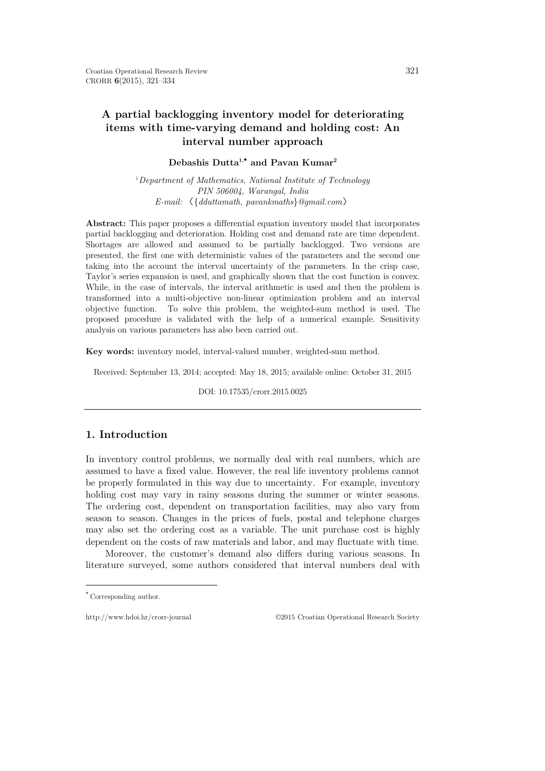# **A partial backlogging inventory model for deteriorating items with time-varying demand and holding cost: An interval number approach**

## **Debashis Dutta1,**[∗](#page-0-0) **and Pavan Kumar2**

1 *Department of Mathematics, National Institute of Technology PIN 506004, Warangal, India E-mail:* 〈{*dduttamath, pavankmaths*}*@gmail.com*〉

**Abstract:** This paper proposes a differential equation inventory model that incorporates partial backlogging and deterioration. Holding cost and demand rate are time dependent. Shortages are allowed and assumed to be partially backlogged. Two versions are presented, the first one with deterministic values of the parameters and the second one taking into the account the interval uncertainty of the parameters. In the crisp case, Taylor's series expansion is used, and graphically shown that the cost function is convex. While, in the case of intervals, the interval arithmetic is used and then the problem is transformed into a multi-objective non-linear optimization problem and an interval objective function. To solve this problem, the weighted-sum method is used. The proposed procedure is validated with the help of a numerical example. Sensitivity analysis on various parameters has also been carried out.

**Key words:** inventory model, interval-valued number, weighted-sum method.

Received: September 13, 2014; accepted: May 18, 2015; available online: October 31, 2015

DOI: 10.17535/crorr.2015.0025

## **1. Introduction**

In inventory control problems, we normally deal with real numbers, which are assumed to have a fixed value. However, the real life inventory problems cannot be properly formulated in this way due to uncertainty. For example, inventory holding cost may vary in rainy seasons during the summer or winter seasons. The ordering cost, dependent on transportation facilities, may also vary from season to season. Changes in the prices of fuels, postal and telephone charges may also set the ordering cost as a variable. The unit purchase cost is highly dependent on the costs of raw materials and labor, and may fluctuate with time.

Moreover, the customer's demand also differs during various seasons. In literature surveyed, some authors considered that interval numbers deal with

 $\overline{a}$ 

http://www.hdoi.hr/crorr-journal ©2015 Croatian Operational Research Society

<span id="page-0-0"></span><sup>∗</sup> Corresponding author.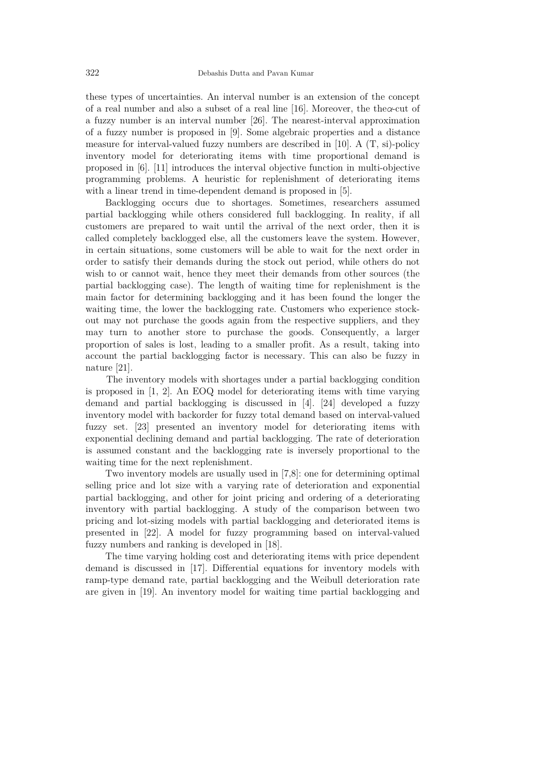these types of uncertainties. An interval number is an extension of the concept of a real number and also a subset of a real line [16]. Moreover, the the*α*-cut of a fuzzy number is an interval number [26]. The nearest-interval approximation of a fuzzy number is proposed in [9]. Some algebraic properties and a distance measure for interval-valued fuzzy numbers are described in [10]. A (T, si)-policy inventory model for deteriorating items with time proportional demand is proposed in [6]. [11] introduces the interval objective function in multi-objective programming problems. A heuristic for replenishment of deteriorating items with a linear trend in time-dependent demand is proposed in [5].

Backlogging occurs due to shortages. Sometimes, researchers assumed partial backlogging while others considered full backlogging. In reality, if all customers are prepared to wait until the arrival of the next order, then it is called completely backlogged else, all the customers leave the system. However, in certain situations, some customers will be able to wait for the next order in order to satisfy their demands during the stock out period, while others do not wish to or cannot wait, hence they meet their demands from other sources (the partial backlogging case). The length of waiting time for replenishment is the main factor for determining backlogging and it has been found the longer the waiting time, the lower the backlogging rate. Customers who experience stockout may not purchase the goods again from the respective suppliers, and they may turn to another store to purchase the goods. Consequently, a larger proportion of sales is lost, leading to a smaller profit. As a result, taking into account the partial backlogging factor is necessary. This can also be fuzzy in nature [21].

The inventory models with shortages under a partial backlogging condition is proposed in [1, 2]. An EOQ model for deteriorating items with time varying demand and partial backlogging is discussed in [4]. [24] developed a fuzzy inventory model with backorder for fuzzy total demand based on interval-valued fuzzy set. [23] presented an inventory model for deteriorating items with exponential declining demand and partial backlogging. The rate of deterioration is assumed constant and the backlogging rate is inversely proportional to the waiting time for the next replenishment.

Two inventory models are usually used in [7,8]: one for determining optimal selling price and lot size with a varying rate of deterioration and exponential partial backlogging, and other for joint pricing and ordering of a deteriorating inventory with partial backlogging. A study of the comparison between two pricing and lot-sizing models with partial backlogging and deteriorated items is presented in [22]. A model for fuzzy programming based on interval-valued fuzzy numbers and ranking is developed in [18].

The time varying holding cost and deteriorating items with price dependent demand is discussed in [17]. Differential equations for inventory models with ramp-type demand rate, partial backlogging and the Weibull deterioration rate are given in [19]. An inventory model for waiting time partial backlogging and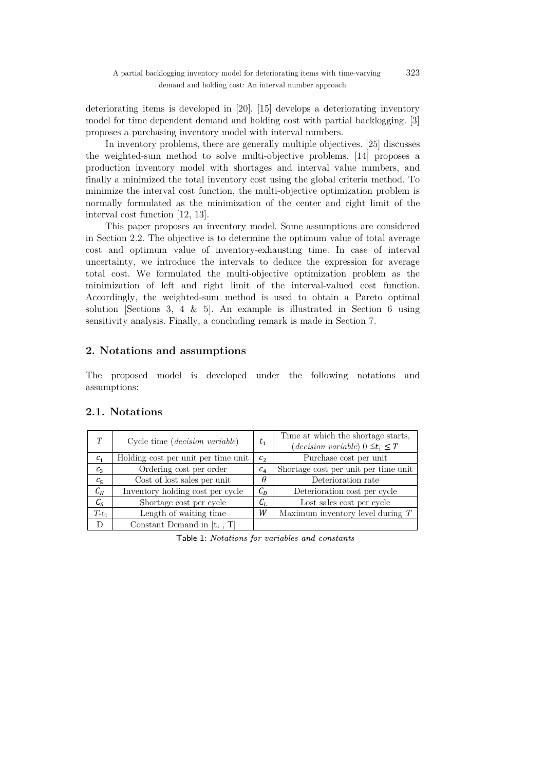deteriorating items is developed in [20]. [15] develops a deteriorating inventory model for time dependent demand and holding cost with partial backlogging. [3] proposes a purchasing inventory model with interval numbers.

In inventory problems, there are generally multiple objectives. [25] discusses the weighted-sum method to solve multi-objective problems. [14] proposes a production inventory model with shortages and interval value numbers, and finally a minimized the total inventory cost using the global criteria method. To minimize the interval cost function, the multi-objective optimization problem is normally formulated as the minimization of the center and right limit of the interval cost function [12, 13].

This paper proposes an inventory model. Some assumptions are considered in Section 2.2. The objective is to determine the optimum value of total average cost and optimum value of inventory-exhausting time. In case of interval uncertainty, we introduce the intervals to deduce the expression for average total cost. We formulated the multi-objective optimization problem as the minimization of left and right limit of the interval-valued cost function. Accordingly, the weighted-sum method is used to obtain a Pareto optimal solution [Sections 3, 4  $\&$  5]. An example is illustrated in Section 6 using sensitivity analysis. Finally, a concluding remark is made in Section 7.

## **2. Notations and assumptions**

The proposed model is developed under the following notations and assumptions:

| T                           | Cycle time (decision variable)      | $t_{1}$        | Time at which the shortage starts,<br>$(decision\ variable)$ $0 \leq t_1 \leq T$ |
|-----------------------------|-------------------------------------|----------------|----------------------------------------------------------------------------------|
| $c_{1}$                     | Holding cost per unit per time unit | c <sub>2</sub> | Purchase cost per unit                                                           |
| $c_{3}$                     | Ordering cost per order             | $c_{4}$        | Shortage cost per unit per time unit                                             |
| $c_{5}$                     | Cost of lost sales per unit         | $\theta$       | Deterioration rate                                                               |
| $C_H$                       | Inventory holding cost per cycle    | $C_D$          | Deterioration cost per cycle                                                     |
| $\mathcal{C}_{\mathcal{S}}$ | Shortage cost per cycle             | $C_{L}$        | Lost sales cost per cycle                                                        |
| $T-t_1$                     | Length of waiting time              | W              | Maximum inventory level during $T$                                               |
| D                           | Constant Demand in $[t_1, T]$       |                |                                                                                  |

## **2.1. Notations**

Table 1: Notations for variables and constants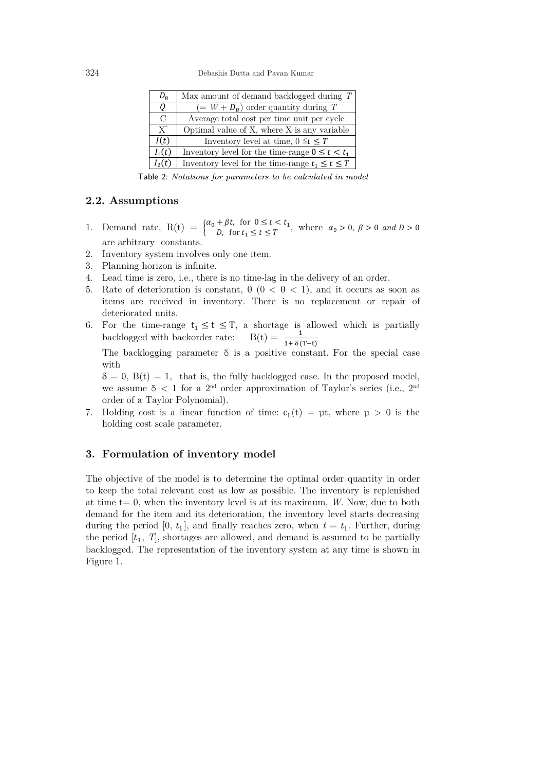| $D_R$    | Max amount of demand backlogged during $T \mid$        |  |  |
|----------|--------------------------------------------------------|--|--|
| U        | $(= W + D_R)$ order quantity during T                  |  |  |
| $\Gamma$ | Average total cost per time unit per cycle             |  |  |
| $X^*$    | Optimal value of X, where X is any variable            |  |  |
| I(t)     | Inventory level at time, $0 \le t \le T$               |  |  |
| $I_1(t)$ | Inventory level for the time-range $0 \le t \le t_1$   |  |  |
| $I_2(t)$ | Inventory level for the time-range $t_1 \leq t \leq T$ |  |  |

Table 2: Notations for parameters to be calculated in model

#### **2.2. Assumptions**

- 1. Demand rate,  $R(t) = \begin{cases} \alpha_0 + \beta t, & \text{for } 0 \le t < t_1 \\ D, & \text{for } t_1 \le t \le T \end{cases}$ , where  $\alpha_0 > 0, \beta > 0$  and  $D > 0$ are arbitrary constants.
- 2. Inventory system involves only one item.
- 3. Planning horizon is infinite.
- 4. Lead time is zero, i.e., there is no time-lag in the delivery of an order.
- 5. Rate of deterioration is constant, θ (0 < θ < 1), and it occurs as soon as items are received in inventory. There is no replacement or repair of deteriorated units.
- 6. For the time-range  $t_1 \le t \le T$ , a shortage is allowed which is partially backlogged with backorder rate:  $B(t) = \frac{1}{1 + \delta(T-t)}$

The backlogging parameter  $\delta$  is a positive constant. For the special case with

 $\delta = 0$ ,  $B(t) = 1$ , that is, the fully backlogged case. In the proposed model, we assume  $\delta$  < 1 for a 2<sup>nd</sup> order approximation of Taylor's series (i.e., 2<sup>nd</sup> order of a Taylor Polynomial).

7. Holding cost is a linear function of time:  $c_1(t) = \mu t$ , where  $\mu > 0$  is the holding cost scale parameter.

#### **3. Formulation of inventory model**

The objective of the model is to determine the optimal order quantity in order to keep the total relevant cost as low as possible. The inventory is replenished at time  $t=0$ , when the inventory level is at its maximum, *W*. Now, due to both demand for the item and its deterioration, the inventory level starts decreasing during the period  $[0, t_1]$ , and finally reaches zero, when  $t = t_1$ . Further, during the period  $[t_1, T]$ , shortages are allowed, and demand is assumed to be partially backlogged. The representation of the inventory system at any time is shown in Figure 1.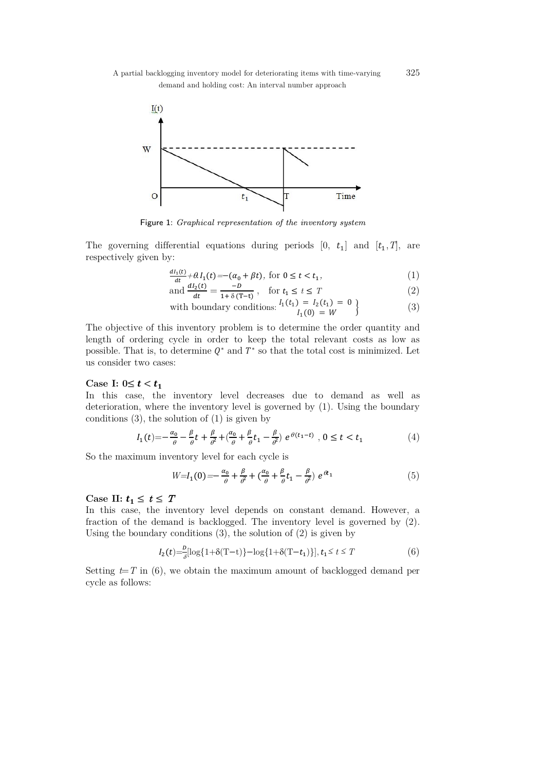

Figure 1: Graphical representation of the inventory system

The governing differential equations during periods  $[0, t_1]$  and  $[t_1, T]$ , are respectively given by:

$$
\frac{dI_1(t)}{dt} + \theta I_1(t) = -(\alpha_0 + \beta t), \text{ for } 0 \le t < t_1,\tag{1}
$$

and 
$$
\frac{dI_2(t)}{dt} = \frac{-B}{1 + \delta (T - t)}, \quad \text{for } t_1 \le t \le T
$$
 (2)

with boundary conditions: 
$$
\begin{cases} I_1(t_1) = I_2(t_1) = 0 \\ I_1(0) = W \end{cases}
$$
 (3)

The objective of this inventory problem is to determine the order quantity and length of ordering cycle in order to keep the total relevant costs as low as possible. That is, to determine  $Q^*$  and  $T^*$  so that the total cost is minimized. Let us consider two cases:

#### Case I:  $0 \le t < t_1$

In this case, the inventory level decreases due to demand as well as deterioration, where the inventory level is governed by (1). Using the boundary conditions  $(3)$ , the solution of  $(1)$  is given by

$$
I_1(t) = -\frac{\alpha_0}{\theta} - \frac{\beta}{\theta}t + \frac{\beta}{\theta^2} + \left(\frac{\alpha_0}{\theta} + \frac{\beta}{\theta}t_1 - \frac{\beta}{\theta^2}\right)e^{\theta(t_1 - t)}, 0 \le t < t_1
$$
 (4)

So the maximum inventory level for each cycle is

$$
W=I_1(0)=-\frac{\alpha_0}{\theta}+\frac{\beta}{\theta^2}+\left(\frac{\alpha_0}{\theta}+\frac{\beta}{\theta}t_1-\frac{\beta}{\theta^2}\right)e^{\theta t_1}\tag{5}
$$

#### Case II:  $t_1 \leq t \leq T$

In this case, the inventory level depends on constant demand. However, a fraction of the demand is backlogged. The inventory level is governed by (2). Using the boundary conditions (3), the solution of (2) is given by

$$
I_2(t) = \frac{D}{\delta} [\log\{1 + \delta(T - t)\} - \log\{1 + \delta(T - t_1)\}], t_1 \le t \le T
$$
 (6)

Setting  $t=T$  in (6), we obtain the maximum amount of backlogged demand per cycle as follows: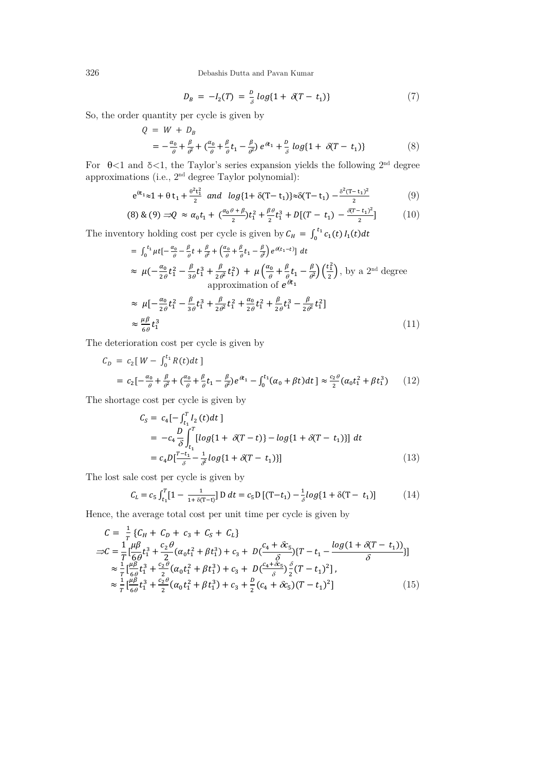326 Debashis Dutta and Pavan Kumar

$$
D_B = -I_2(T) = \frac{D}{\delta} \log\{1 + \delta(T - t_1)\}\tag{7}
$$

So, the order quantity per cycle is given by

$$
Q = W + D_B
$$
  
=  $-\frac{\alpha_0}{\theta} + \frac{\beta}{\theta^2} + (\frac{\alpha_0}{\theta} + \frac{\beta}{\theta}t_1 - \frac{\beta}{\theta^2}) e^{\theta t_1} + \frac{D}{\delta} log\{1 + \delta(T - t_1)\}$  (8)

For  $\theta$ <1 and  $\delta$ <1, the Taylor's series expansion yields the following  $2<sup>nd</sup>$  degree approximations (i.e., 2nd degree Taylor polynomial):

$$
e^{\theta t_1} \approx 1 + \theta t_1 + \frac{\theta^2 t_1^2}{2}
$$
 and  $log\{1 + \delta(T - t_1)\} \approx \delta(T - t_1) - \frac{\delta^2 (T - t_1)^2}{2}$  (9)

$$
(8) \& (9) \Rightarrow Q \approx \alpha_0 t_1 + \left(\frac{\alpha_0 \theta + \beta}{2}\right) t_1^2 + \frac{\beta \theta}{2} t_1^3 + D[(T - t_1) - \frac{\beta (T - t_1)^2}{2}] \tag{10}
$$

The inventory holding cost per cycle is given by  $C_H = \int_0^{t_1} c_1(t) I_1(t)$ 

$$
= \int_0^{t_1} \mu t \left[ -\frac{\alpha_0}{\theta} - \frac{\beta}{\theta} t + \frac{\beta}{\theta^2} + \left( \frac{\alpha_0}{\theta} + \frac{\beta}{\theta} t_1 - \frac{\beta}{\theta^2} \right) e^{\theta(t_1 - t)} \right] dt
$$
  
\n
$$
\approx \mu \left( -\frac{\alpha_0}{2\theta} t_1^2 - \frac{\beta}{3\theta} t_1^3 + \frac{\beta}{2\theta^2} t_1^2 \right) + \mu \left( \frac{\alpha_0}{\theta} + \frac{\beta}{\theta} t_1 - \frac{\beta}{\theta^2} \right) \left( \frac{t_1^2}{2} \right), \text{ by a } 2^{\text{nd}} \text{ degree approximation of } e^{\theta t_1}
$$
  
\n
$$
\approx \mu \left[ -\frac{\alpha_0}{2\theta} t_1^2 - \frac{\beta}{3\theta} t_1^3 + \frac{\beta}{2\theta^2} t_1^2 + \frac{\alpha_0}{2\theta} t_1^2 + \frac{\beta}{2\theta} t_1^3 - \frac{\beta}{2\theta^2} t_1^2 \right]
$$
  
\n
$$
\approx \frac{\mu \beta}{6\theta} t_1^3
$$
 (11)

The deterioration cost per cycle is given by

$$
C_D = c_2[W - \int_0^{t_1} R(t)dt]
$$
  
=  $c_2[-\frac{\alpha_0}{\theta} + \frac{\beta}{\theta^2} + (\frac{\alpha_0}{\theta} + \frac{\beta}{\theta}t_1 - \frac{\beta}{\theta^2})e^{\theta t_1} - \int_0^{t_1} (\alpha_0 + \beta t)dt] \approx \frac{c_2 \theta}{2} (\alpha_0 t_1^2 + \beta t_1^3)$  (12)

The shortage cost per cycle is given by

$$
C_{S} = c_{4}[-\int_{t_{1}}^{T} I_{2}(t)dt] \n= -c_{4} \frac{D}{\delta} \int_{t_{1}}^{T} [log\{1 + \delta(T - t)\} - log\{1 + \delta(T - t_{1})\}] dt \n= c_{4} D[\frac{T - t_{1}}{\delta} - \frac{1}{\delta^{2}} log\{1 + \delta(T - t_{1})\}]
$$
\n(13)

The lost sale cost per cycle is given by

$$
C_L = c_5 \int_{t_1}^{T} [1 - \frac{1}{1 + \delta(T - t)}] D dt = c_5 D [(T - t_1) - \frac{1}{\delta} log\{1 + \delta(T - t_1)]
$$
(14)

Hence, the average total cost per unit time per cycle is given by

$$
C = \frac{1}{T} \{C_H + C_D + c_3 + C_S + C_L\}
$$
  
\n
$$
\Rightarrow C = \frac{1}{T} \left[ \frac{\mu \beta}{6\theta} t_1^3 + \frac{c_2 \theta}{2} (\alpha_0 t_1^2 + \beta t_1^3) + c_3 + D \left( \frac{c_4 + \delta c_5}{\delta} \right) \{T - t_1 - \frac{\log(1 + \delta(T - t_1))}{\delta} \} \right]
$$
  
\n
$$
\approx \frac{1}{T} \left[ \frac{\mu \beta}{6\theta} t_1^3 + \frac{c_2 \theta}{2} (\alpha_0 t_1^2 + \beta t_1^3) + c_3 + D \left( \frac{c_4 + \delta c_5}{\delta} \right) \frac{\delta}{2} (T - t_1)^2 \right],
$$
  
\n
$$
\approx \frac{1}{T} \left[ \frac{\mu \beta}{6\theta} t_1^3 + \frac{c_2 \theta}{2} (\alpha_0 t_1^2 + \beta t_1^3) + c_3 + \frac{D}{2} (c_4 + \delta c_5) (T - t_1)^2 \right]
$$
(15)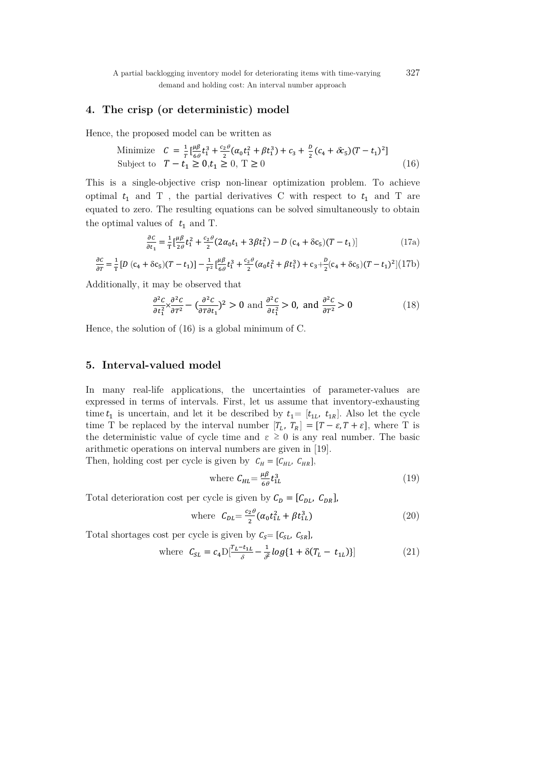A partial backlogging inventory model for deteriorating items with time-varying 327 demand and holding cost: An interval number approach

#### **4. The crisp (or deterministic) model**

Hence, the proposed model can be written as

Minimize 
$$
C = \frac{1}{T} \left[ \frac{\mu \beta}{6\theta} t_1^3 + \frac{c_2 \theta}{2} (\alpha_0 t_1^2 + \beta t_1^3) + c_3 + \frac{D}{2} (c_4 + \delta c_5) (T - t_1)^2 \right]
$$
  
Subject to  $T - t_1 \ge 0, t_1 \ge 0, T \ge 0$  (16)

This is a single-objective crisp non-linear optimization problem. To achieve optimal  $t_1$  and T, the partial derivatives C with respect to  $t_1$  and T are equated to zero. The resulting equations can be solved simultaneously to obtain the optimal values of  $t_1$  and T.

$$
\frac{\partial c}{\partial t_1} = \frac{1}{T} \left[ \frac{\mu \beta}{2\theta} t_1^2 + \frac{c_2 \theta}{2} (2\alpha_0 t_1 + 3\beta t_1^2) - D (c_4 + \delta c_5)(T - t_1) \right]
$$
(17a)

$$
\frac{\partial c}{\partial r} = \frac{1}{T} \left[ D \left( c_4 + \delta c_5 \right) (T - t_1) \right] - \frac{1}{T^2} \left[ \frac{\mu \beta}{6\theta} t_1^3 + \frac{c_2 \theta}{2} ( \alpha_0 t_1^2 + \beta t_1^3 ) + c_3 + \frac{D}{2} (c_4 + \delta c_5) (T - t_1)^2 \right] (17b)
$$

Additionally, it may be observed that

$$
\frac{\partial^2 C}{\partial t_1^2} \times \frac{\partial^2 C}{\partial t_2^2} - \left(\frac{\partial^2 C}{\partial t_1 \partial t_1}\right)^2 > 0 \text{ and } \frac{\partial^2 C}{\partial t_1^2} > 0, \text{ and } \frac{\partial^2 C}{\partial t_1^2} > 0 \tag{18}
$$

Hence, the solution of (16) is a global minimum of C.

### **5. Interval-valued model**

In many real-life applications, the uncertainties of parameter-values are expressed in terms of intervals. First, let us assume that inventory-exhausting time  $t_1$  is uncertain, and let it be described by  $t_1=[t_{1L}, t_{1R}]$ . Also let the cycle time T be replaced by the interval number  $[T_L, T_R] = [T - \varepsilon, T + \varepsilon]$ , where T is the deterministic value of cycle time and  $\varepsilon \geq 0$  is any real number. The basic arithmetic operations on interval numbers are given in [19].

Then, holding cost per cycle is given by  $C_H = [C_{HL}, C_{HR}]$ ,

where 
$$
C_{HL} = \frac{\mu \beta}{6\theta} t_{1L}^3
$$
 (19)

Total deterioration cost per cycle is given by  $C_D = [C_{DL}, C_{DR}]$ ,

where 
$$
C_{DL} = \frac{c_2 \theta}{2} (\alpha_0 t_{1L}^2 + \beta t_{1L}^3)
$$
 (20)

Total shortages cost per cycle is given by  $C_s = [C_{SL}, C_{SR}]$ ,

where 
$$
C_{SL} = c_4 D \left[ \frac{T_L - t_{1L}}{\delta} - \frac{1}{\delta^2} \log\{1 + \delta(T_L - t_{1L})\} \right]
$$
 (21)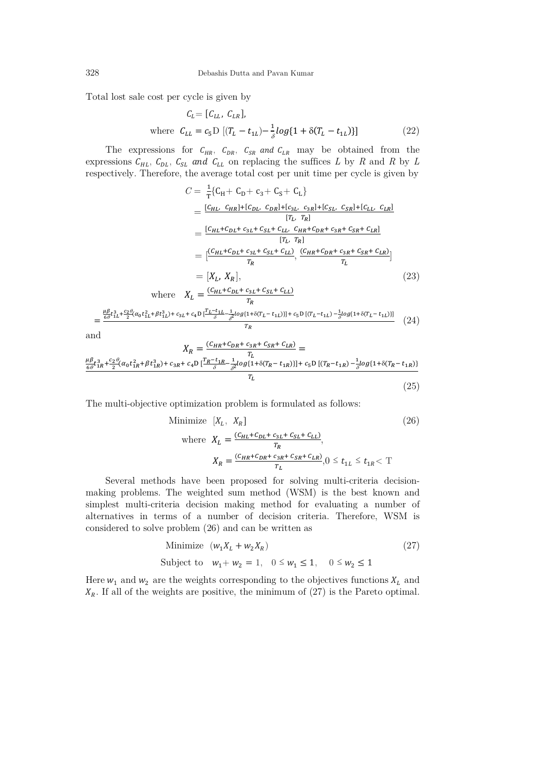Total lost sale cost per cycle is given by

$$
C_{L} = [C_{LL}, C_{LR}],
$$
  
where  $C_{LL} = c_5 D [(T_L - t_{1L}) - \frac{1}{\delta} log\{1 + \delta (T_L - t_{1L})\}]$  (22)

The expressions for  $C_{HR}$ ,  $C_{DR}$ ,  $C_{SR}$  and  $C_{LR}$  may be obtained from the expressions  $C_{HL}$ ,  $C_{DL}$ ,  $C_{SL}$  and  $C_{LL}$  on replacing the suffices *L* by *R* and *R* by *L* respectively. Therefore, the average total cost per unit time per cycle is given by

$$
C = \frac{1}{T} \{ C_{H} + C_{D} + c_{3} + C_{S} + C_{L} \}
$$
  
\n
$$
= \frac{[C_{HL} C_{HR}] + [C_{DL} C_{DR}] + [c_{3L} C_{3R}] + [C_{SL} C_{SR}] + [C_{LL} C_{LR}]}{[T_{L} T_{R}]}
$$
  
\n
$$
= \frac{[C_{HL} + C_{DL} + c_{3L} + c_{SL} + C_{LL} C_{HR} + C_{DR} + c_{3R} + C_{SR} + C_{LR}]}{[T_{L}, T_{R}]}
$$
  
\n
$$
= \frac{[C_{HL} + C_{DL} + c_{3L} + C_{SL} + C_{LL}]}{T_{R}}, \frac{(C_{HR} + C_{DR} + c_{3R} + C_{SR} + C_{LR})}{T_{L}}
$$
  
\n
$$
= [X_{L}, X_{R}], \qquad (23)
$$
  
\nwhere  $X_{L} = \frac{(C_{HL} + C_{DL} + c_{3L} + C_{SL} + C_{LL})}{T_{L}}$ 

$$
= \frac{\frac{\mu \beta}{6\theta} t_{1L}^3 + \frac{c_2 \theta}{2} (\alpha_0 t_{1L}^2 + \beta t_{1L}^3) + c_{3L} + c_4 D \left[ \frac{T_L - t_{1L}}{\delta} - \frac{1}{\delta^2} \log(1 + \delta (T_L - t_{1L})) \right] + c_5 D \left[ (T_L - t_{1L}) - \frac{1}{\delta} \log(1 + \delta (T_L - t_{1L})) \right]}{T_R} \tag{24}
$$

and

$$
X_R = \frac{(c_{HR} + c_{DR} + c_{3R} + c_{LR})}{T_L} =
$$
  
\n
$$
\frac{\mu \beta}{6\theta} t_{1R}^3 + \frac{c_2 \theta}{2} (\alpha_0 t_{1R}^2 + \beta t_{1R}^3) + c_{3R} + c_4 D \left[ \frac{T_R - t_{1R}}{\delta} - \frac{1}{\delta^2} log\{1 + \delta(T_R - t_{1R})\} \right] + c_5 D \left[ (T_R - t_{1R}) - \frac{1}{\delta} log\{1 + \delta(T_R - t_{1R})\} \right]
$$
  
\n
$$
T_L
$$
\n(25)

The multi-objective optimization problem is formulated as follows:

Minimize 
$$
[X_L, X_R]
$$
(26)  
where 
$$
X_L = \frac{(C_{HL} + C_{DL} + C_{3L} + C_{LL})}{T_R},
$$

$$
X_R = \frac{(C_{HR} + C_{DR} + C_{3R} + C_{SR} + C_{LR})}{T_L}, 0 \le t_{1L} \le t_{1R} < T
$$

Several methods have been proposed for solving multi-criteria decisionmaking problems. The weighted sum method (WSM) is the best known and simplest multi-criteria decision making method for evaluating a number of alternatives in terms of a number of decision criteria. Therefore, WSM is considered to solve problem (26) and can be written as

Minimize 
$$
(w_1 X_L + w_2 X_R)
$$
 (27)

Subject to  $w_1 + w_2 = 1$ ,  $0 \le w_1 \le 1$ ,  $0 \le w_2 \le 1$ 

Here  $w_1$  and  $w_2$  are the weights corresponding to the objectives functions  $X_L$  and  $X_R$ . If all of the weights are positive, the minimum of (27) is the Pareto optimal.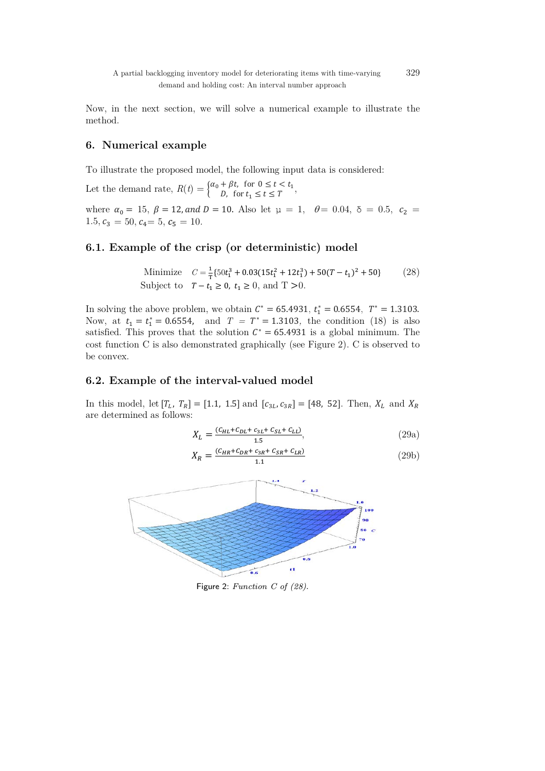A partial backlogging inventory model for deteriorating items with time-varying 329 demand and holding cost: An interval number approach

Now, in the next section, we will solve a numerical example to illustrate the method.

## **6. Numerical example**

To illustrate the proposed model, the following input data is considered:

Let the demand rate,  $R(t) = \begin{cases} \alpha_0 + \beta t, & \text{for } 0 \le t < t_1 \\ D, & \text{for } t_1 \le t \le T \end{cases}$ ,

where  $\alpha_0 = 15$ ,  $\beta = 12$ , and  $D = 10$ . Also let  $\mu = 1$ ,  $\theta = 0.04$ ,  $\delta = 0.5$ ,  $c_2 =$  $1.5, c_3 = 50, c_4 = 5, c_5 = 10.$ 

## **6.1. Example of the crisp (or deterministic) model**

Minimize  $C = \frac{1}{T} \{50t_1^3 + 0.03(15t_1^2 + 12t_1^3) + 50(T - t_1)^2 + 50\}$  (28) Subject to  $T - t_1 \ge 0$ ,  $t_1 \ge 0$ , and  $T > 0$ .

In solving the above problem, we obtain  $C^* = 65.4931$ ,  $t_1^* = 0.6554$ ,  $T^* = 1.3103$ . Now, at  $t_1 = t_1^* = 0.6554$ , and  $T = T^* = 1.3103$ , the condition (18) is also satisfied. This proves that the solution  $C^* = 65.4931$  is a global minimum. The cost function C is also demonstrated graphically (see Figure 2). C is observed to be convex.

## **6.2. Example of the interval-valued model**

In this model, let  $[T_L, T_R] = [1.1, 1.5]$  and  $[c_{3L}, c_{3R}] = [48, 52]$ . Then,  $X_L$  and  $X_R$ are determined as follows:

$$
X_L = \frac{(C_{HL} + C_{DL} + C_{3L} + C_{SL} + C_{LL})}{1.5},
$$
\n(29a)

$$
X_R = \frac{(c_{HR} + c_{DR} + c_{3R} + c_{5R} + c_{LR})}{1.1}
$$
 (29b)



Figure 2: Function C of (28).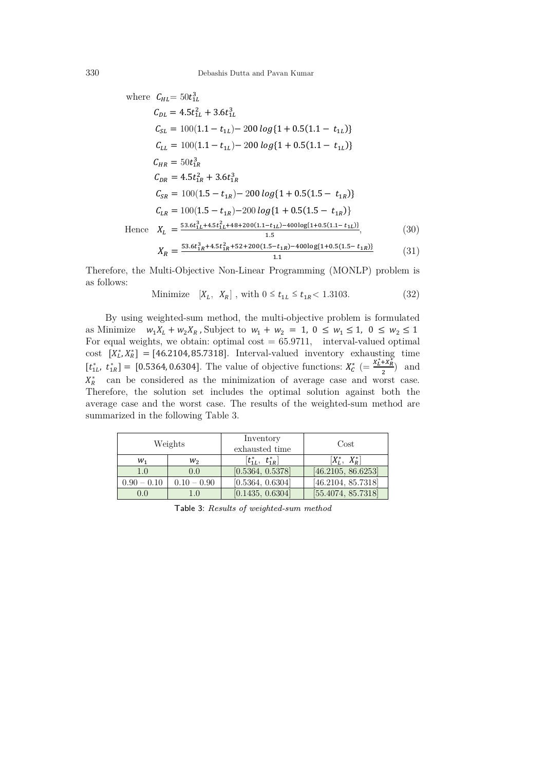where 
$$
C_{HL} = 50t_{1L}^3
$$
  
\n
$$
C_{DL} = 4.5t_{1L}^2 + 3.6t_{1L}^3
$$
\n
$$
C_{SL} = 100(1.1 - t_{1L}) - 200 \log\{1 + 0.5(1.1 - t_{1L})\}
$$
\n
$$
C_{LL} = 100(1.1 - t_{1L}) - 200 \log\{1 + 0.5(1.1 - t_{1L})\}
$$
\n
$$
C_{HR} = 50t_{1R}^3
$$
\n
$$
C_{DR} = 4.5t_{1R}^2 + 3.6t_{1R}^3
$$
\n
$$
C_{SR} = 100(1.5 - t_{1R}) - 200 \log\{1 + 0.5(1.5 - t_{1R})\}
$$
\n
$$
C_{LR} = 100(1.5 - t_{1R}) - 200 \log\{1 + 0.5(1.5 - t_{1R})\}
$$
\nHence 
$$
X_L = \frac{53.6t_{1L}^3 + 4.5t_{1L}^2 + 48 + 200(1.1 - t_{1L}) - 400\log\{1 + 0.5(1.1 - t_{1L})\}}{1.5},
$$
\n
$$
X_R = \frac{53.6t_{1R}^3 + 4.5t_{1R}^2 + 52 + 200(1.5 - t_{1R}) - 400\log\{1 + 0.5(1.5 - t_{1R})\}}{1.1}
$$
\n(31)

Therefore, the Multi-Objective Non-Linear Programming (MONLP) problem is as follows:

Minimize 
$$
[X_L, X_R]
$$
, with  $0 \le t_{1L} \le t_{1R} < 1.3103$ . (32)

By using weighted-sum method, the multi-objective problem is formulated as Minimize  $w_1 X_L + w_2 X_R$ , Subject to  $w_1 + w_2 = 1$ ,  $0 \le w_1 \le 1$ ,  $0 \le w_2 \le 1$ For equal weights, we obtain: optimal  $cost = 65.9711$ , interval-valued optimal cost  $[X_L^*, X_R^*] = [46.2104, 85.7318]$ . Interval-valued inventory exhausting time  $[t_{1L}^*, t_{1R}^*] = [0.5364, 0.6304]$ . The value of objective functions:  $X_c^* = \frac{x_L^* + x_R^*}{2}$  and  $X_R^*$  can be considered as the minimization of average case and worst case. Therefore, the solution set includes the optimal solution against both the average case and the worst case. The results of the weighted-sum method are summarized in the following Table 3.

| Weights       |               | Inventory<br>exhausted time   | Cost               |
|---------------|---------------|-------------------------------|--------------------|
| $W_1$         | $W_2$         | $[t_{1L}^*,\enskip t_{1R}^*]$ | $[X_L^*, X_R^*]$   |
| 1.0           | 0.0           | [0.5364, 0.5378]              | [46.2105, 86.6253] |
| $0.90 - 0.10$ | $0.10 - 0.90$ | [0.5364, 0.6304]              | [46.2104, 85.7318] |
| 0.0           |               | [0.1435, 0.6304]              | [55.4074, 85.7318] |

Table 3: Results of weighted-sum method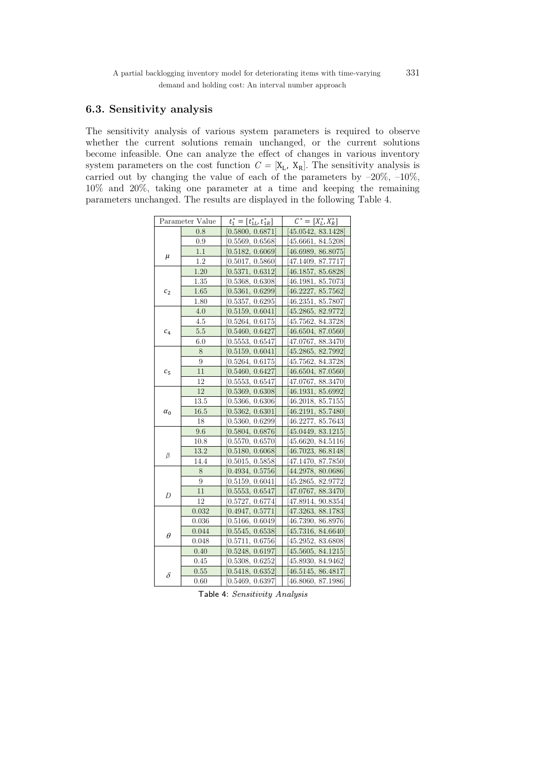## **6.3. Sensitivity analysis**

The sensitivity analysis of various system parameters is required to observe whether the current solutions remain unchanged, or the current solutions become infeasible. One can analyze the effect of changes in various inventory system parameters on the cost function  $C = [X_L, X_R]$ . The sensitivity analysis is carried out by changing the value of each of the parameters by  $-20\%$ ,  $-10\%$ , 10% and 20%, taking one parameter at a time and keeping the remaining parameters unchanged. The results are displayed in the following Table 4.

| Parameter Value |         | $t_1^* = [t_{1L}^*, t_{1R}^*]$ | $\overline{C}^* = [X_L^*, X_R^*]$ |
|-----------------|---------|--------------------------------|-----------------------------------|
|                 | 0.8     | [0.5800, 0.6871]               | [45.0542, 83.1428]                |
|                 | 0.9     | [0.5569, 0.6568]               | [45.6661, 84.5208]                |
|                 | 1.1     | [0.5182, 0.6069]               | [46.6989, 86.8075]                |
| $\mu$           | 1.2     | [0.5017, 0.5860]               | 47.1409, 87.7717                  |
|                 | 1.20    | [0.5371, 0.6312]               | 46.1857, 85.6828                  |
|                 | 1.35    | [0.5368, 0.6308]               | 46.1981, 85.7073                  |
| c <sub>2</sub>  | 1.65    | [0.5361, 0.6299]               | 46.2227, 85.7562                  |
|                 | 1.80    | [0.5357, 0.6295]               | 46.2351, 85.7807                  |
|                 | 4.0     | [0.5159, 0.6041]               | [45.2865, 82.9772]                |
|                 | 4.5     | [0.5264, 0.6175]               | [45.7562, 84.3728]                |
| c <sub>4</sub>  | $5.5\,$ | [0.5460, 0.6427]               | [46.6504, 87.0560]                |
|                 | 6.0     | [0.5553, 0.6547]               | [47.0767, 88.3470]                |
|                 | 8       | [0.5159, 0.6041]               | [45.2865, 82.7992]                |
|                 | 9       | [0.5264, 0.6175]               | [45.7562, 84.3728]                |
| $c_{5}$         | 11      | [0.5460, 0.6427]               | [46.6504, 87.0560]                |
|                 | 12      | [0.5553, 0.6547]               | [47.0767, 88.3470]                |
|                 | 12      | [0.5369, 0.6308]               | [46.1931, 85.6992]                |
|                 | 13.5    | [0.5366, 0.6306]               | [46.2018, 85.7155]                |
| $\alpha_0$      | 16.5    | [0.5362, 0.6301]               | [46.2191, 85.7480]                |
|                 | 18      | [0.5360, 0.6299]               | [46.2277, 85.7643]                |
|                 | 9.6     | [0.5804, 0.6876]               | [45.0449, 83.1215]                |
|                 | 10.8    | 0.5570, 0.6570]                | [45.6620, 84.5116]                |
| β               | 13.2    | [0.5180, 0.6068]               | [46.7023, 86.8148]                |
|                 | 14.4    | [0.5015, 0.5858]               | [47.1470, 87.7850]                |
|                 | 8       | [0.4934, 0.5756]               | [44.2978, 80.0686]                |
|                 | 9       | [0.5159, 0.6041]               | [45.2865, 82.9772]                |
| D               | 11      | [0.5553, 0.6547]               | [47.0767, 88.3470]                |
|                 | 12      | [0.5727, 0.6774]               | [47.8914, 90.8354]                |
|                 | 0.032   | [0.4947, 0.5771]               | [47.3263, 88.1783]                |
|                 | 0.036   | [0.5166, 0.6049]               | [46.7390, 86.8976]                |
| $\theta$        | 0.044   | [0.5545, 0.6538]               | [45.7316, 84.6640]                |
|                 | 0.048   | [0.5711, 0.6756]               | 45.2952, 83.6808                  |
|                 | 0.40    | [0.5248, 0.6197]               | 45.5605, 84.1215]                 |
|                 | 0.45    | [0.5308, 0.6252]               | [45.8930, 84.9462]                |
| $\delta$        | 0.55    | [0.5418, 0.6352]               | [46.5145, 86.4817]                |
|                 | 0.60    | [0.5469, 0.6397]               | [46.8060, 87.1986]                |

Table 4: Sensitivity Analysis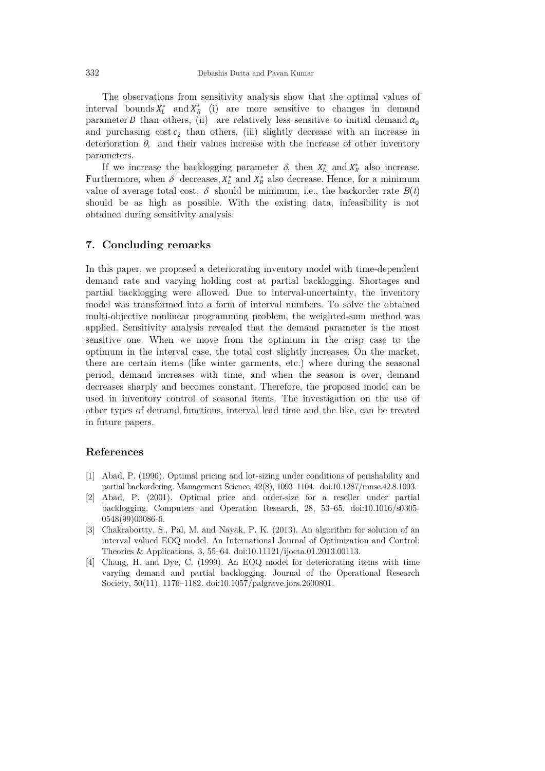332 Debashis Dutta and Pavan Kumar

The observations from sensitivity analysis show that the optimal values of interval bounds  $X_L^*$  and  $X_R^*$  (i) are more sensitive to changes in demand parameter *D* than others, (ii) are relatively less sensitive to initial demand  $\alpha_0$ and purchasing  $\cos t c_2$  than others, (iii) slightly decrease with an increase in deterioration  $\theta$ , and their values increase with the increase of other inventory parameters.

If we increase the backlogging parameter  $\delta$ , then  $X_L^*$  and  $X_R^*$  also increase. Furthermore, when  $\delta$  decreases,  $X_L^*$  and  $X_R^*$  also decrease. Hence, for a minimum value of average total cost,  $\delta$  should be minimum, i.e., the backorder rate  $B(t)$ should be as high as possible. With the existing data, infeasibility is not obtained during sensitivity analysis.

## **7. Concluding remarks**

In this paper, we proposed a deteriorating inventory model with time-dependent demand rate and varying holding cost at partial backlogging. Shortages and partial backlogging were allowed. Due to interval-uncertainty, the inventory model was transformed into a form of interval numbers. To solve the obtained multi-objective nonlinear programming problem, the weighted-sum method was applied. Sensitivity analysis revealed that the demand parameter is the most sensitive one. When we move from the optimum in the crisp case to the optimum in the interval case, the total cost slightly increases. On the market, there are certain items (like winter garments, etc.) where during the seasonal period, demand increases with time, and when the season is over, demand decreases sharply and becomes constant. Therefore, the proposed model can be used in inventory control of seasonal items. The investigation on the use of other types of demand functions, interval lead time and the like, can be treated in future papers.

#### **References**

- [1] Abad, P. (1996). Optimal pricing and lot-sizing under conditions of perishability and partial backordering. Management Science, 42(8), 1093–1104. doi:10.1287/mnsc.42.8.1093.
- [2] Abad, P. (2001). Optimal price and order-size for a reseller under partial backlogging. Computers and Operation Research, 28, 53–65. doi:10.1016/s0305- 0548(99)00086-6.
- [3] Chakrabortty, S., Pal, M. and Nayak, P. K. (2013). An algorithm for solution of an interval valued EOQ model. An International Journal of Optimization and Control: Theories & Applications, 3, 55–64. doi:10.11121/ijocta.01.2013.00113.
- [4] Chang, H. and Dye, C. (1999). An EOQ model for deteriorating items with time varying demand and partial backlogging. Journal of the Operational Research Society, 50(11), 1176–1182. doi:10.1057/palgrave.jors.2600801.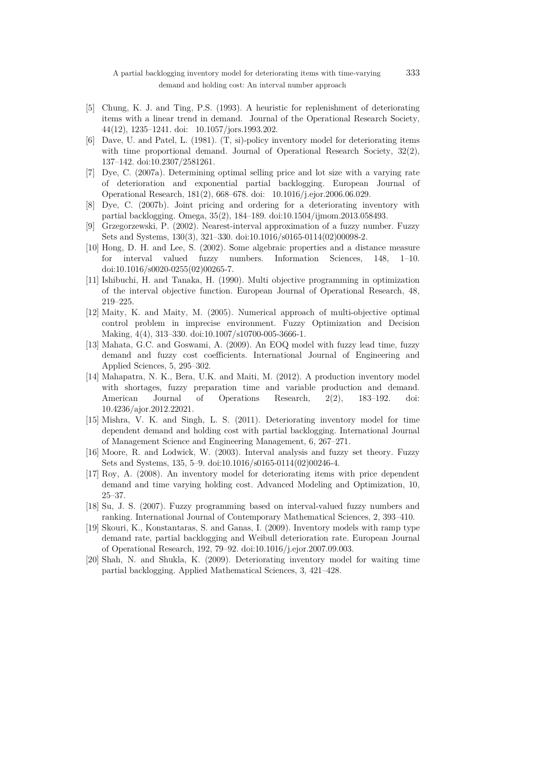A partial backlogging inventory model for deteriorating items with time-varying 333 demand and holding cost: An interval number approach

- [5] Chung, K. J. and Ting, P.S. (1993). A heuristic for replenishment of deteriorating items with a linear trend in demand. Journal of the Operational Research Society, 44(12), 1235–1241. doi: 10.1057/jors.1993.202.
- [6] Dave, U. and Patel, L. (1981). (T, si)-policy inventory model for deteriorating items with time proportional demand. Journal of Operational Research Society,  $32(2)$ , 137–142. doi:10.2307/2581261.
- [7] Dye, C. (2007a). Determining optimal selling price and lot size with a varying rate of deterioration and exponential partial backlogging. European Journal of Operational Research, 181(2), 668–678. doi: 10.1016/j.ejor.2006.06.029.
- [8] Dye, C. (2007b). Joint pricing and ordering for a deteriorating inventory with partial backlogging. Omega, 35(2), 184–189. doi:10.1504/ijmom.2013.058493.
- [9] Grzegorzewski, P. (2002). Nearest-interval approximation of a fuzzy number. Fuzzy Sets and Systems, 130(3), 321–330. doi:10.1016/s0165-0114(02)00098-2.
- [10] Hong, D. H. and Lee, S. (2002). Some algebraic properties and a distance measure for interval valued fuzzy numbers. Information Sciences, 148, 1–10. doi:10.1016/s0020-0255(02)00265-7.
- [11] Ishibuchi, H. and Tanaka, H. (1990). Multi objective programming in optimization of the interval objective function. European Journal of Operational Research, 48, 219–225.
- [12] Maity, K. and Maity, M. (2005). Numerical approach of multi-objective optimal control problem in imprecise environment. Fuzzy Optimization and Decision Making, 4(4), 313–330. doi:10.1007/s10700-005-3666-1.
- [13] Mahata, G.C. and Goswami, A. (2009). An EOQ model with fuzzy lead time, fuzzy demand and fuzzy cost coefficients. International Journal of Engineering and Applied Sciences, 5, 295–302.
- [14] Mahapatra, N. K., Bera, U.K. and Maiti, M. (2012). A production inventory model with shortages, fuzzy preparation time and variable production and demand. American Journal of Operations Research, 2(2), 183–192. doi: 10.4236/ajor.2012.22021.
- [15] Mishra, V. K. and Singh, L. S. (2011). Deteriorating inventory model for time dependent demand and holding cost with partial backlogging. International Journal of Management Science and Engineering Management, 6, 267–271.
- [16] Moore, R. and Lodwick, W. (2003). Interval analysis and fuzzy set theory. Fuzzy Sets and Systems, 135, 5–9. doi:10.1016/s0165-0114(02)00246-4.
- [17] Roy, A. (2008). An inventory model for deteriorating items with price dependent demand and time varying holding cost. Advanced Modeling and Optimization, 10, 25–37.
- [18] Su, J. S. (2007). Fuzzy programming based on interval-valued fuzzy numbers and ranking. International Journal of Contemporary Mathematical Sciences, 2, 393–410.
- [19] Skouri, K., Konstantaras, S. and Ganas, I. (2009). Inventory models with ramp type demand rate, partial backlogging and Weibull deterioration rate. European Journal of Operational Research, 192, 79–92. doi:10.1016/j.ejor.2007.09.003.
- [20] Shah, N. and Shukla, K. (2009). Deteriorating inventory model for waiting time partial backlogging. Applied Mathematical Sciences, 3, 421–428.